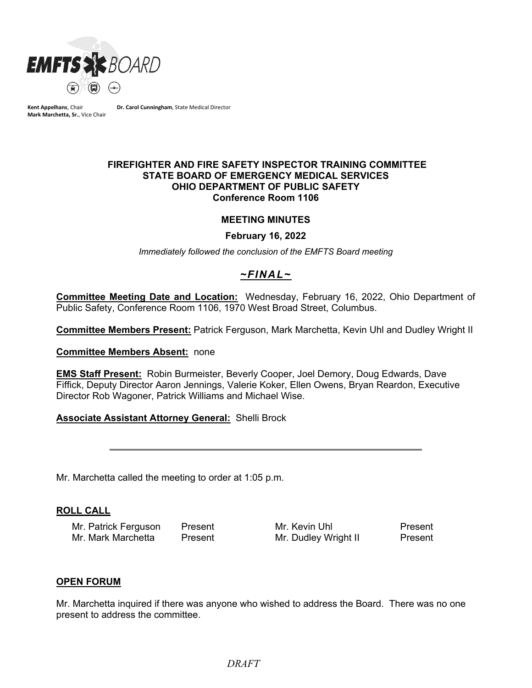

**Kent Appelhans**, Chair **Mark Marchetta, Sr.**, Vice Chair **Dr. Carol Cunningham**, State Medical Director

#### **FIREFIGHTER AND FIRE SAFETY INSPECTOR TRAINING COMMITTEE STATE BOARD OF EMERGENCY MEDICAL SERVICES OHIO DEPARTMENT OF PUBLIC SAFETY Conference Room 1106**

### **MEETING MINUTES**

#### **February 16, 2022**

*Immediately followed the conclusion of the EMFTS Board meeting*

# *~FINAL~*

**Committee Meeting Date and Location:** Wednesday, February 16, 2022, Ohio Department of Public Safety, Conference Room 1106, 1970 West Broad Street, Columbus.

**Committee Members Present:** Patrick Ferguson, Mark Marchetta, Kevin Uhl and Dudley Wright II

**Committee Members Absent:** none

**EMS Staff Present:** Robin Burmeister, Beverly Cooper, Joel Demory, Doug Edwards, Dave Fiffick, Deputy Director Aaron Jennings, Valerie Koker, Ellen Owens, Bryan Reardon, Executive Director Rob Wagoner, Patrick Williams and Michael Wise.

### **Associate Assistant Attorney General:** Shelli Brock

Mr. Marchetta called the meeting to order at 1:05 p.m.

#### **ROLL CALL**

Mr. Patrick Ferguson Present Mr. Kevin Uhl Present

 $\overline{a}$ 

Mr. Dudley Wright II

#### **OPEN FORUM**

Mr. Marchetta inquired if there was anyone who wished to address the Board. There was no one present to address the committee.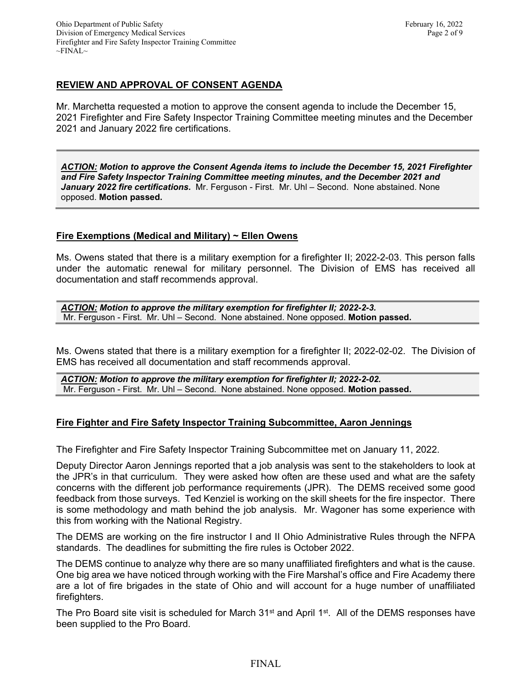# **REVIEW AND APPROVAL OF CONSENT AGENDA**

Mr. Marchetta requested a motion to approve the consent agenda to include the December 15, 2021 Firefighter and Fire Safety Inspector Training Committee meeting minutes and the December 2021 and January 2022 fire certifications.

*ACTION: Motion to approve the Consent Agenda items to include the December 15, 2021 Firefighter and Fire Safety Inspector Training Committee meeting minutes, and the December 2021 and January 2022 fire certifications.* Mr. Ferguson - First. Mr. Uhl – Second. None abstained. None opposed. **Motion passed.**

# **Fire Exemptions (Medical and Military) ~ Ellen Owens**

Ms. Owens stated that there is a military exemption for a firefighter II; 2022-2-03. This person falls under the automatic renewal for military personnel. The Division of EMS has received all documentation and staff recommends approval.

*ACTION: Motion to approve the military exemption for firefighter II; 2022-2-3.*  Mr. Ferguson - First. Mr. Uhl – Second. None abstained. None opposed. **Motion passed.**

Ms. Owens stated that there is a military exemption for a firefighter II; 2022-02-02. The Division of EMS has received all documentation and staff recommends approval.

*ACTION: Motion to approve the military exemption for firefighter II; 2022-2-02.*  Mr. Ferguson - First. Mr. Uhl – Second. None abstained. None opposed. **Motion passed.**

# **Fire Fighter and Fire Safety Inspector Training Subcommittee, Aaron Jennings**

The Firefighter and Fire Safety Inspector Training Subcommittee met on January 11, 2022.

Deputy Director Aaron Jennings reported that a job analysis was sent to the stakeholders to look at the JPR's in that curriculum. They were asked how often are these used and what are the safety concerns with the different job performance requirements (JPR). The DEMS received some good feedback from those surveys. Ted Kenziel is working on the skill sheets for the fire inspector. There is some methodology and math behind the job analysis. Mr. Wagoner has some experience with this from working with the National Registry.

The DEMS are working on the fire instructor I and II Ohio Administrative Rules through the NFPA standards. The deadlines for submitting the fire rules is October 2022.

The DEMS continue to analyze why there are so many unaffiliated firefighters and what is the cause. One big area we have noticed through working with the Fire Marshal's office and Fire Academy there are a lot of fire brigades in the state of Ohio and will account for a huge number of unaffiliated firefighters.

The Pro Board site visit is scheduled for March 31<sup>st</sup> and April 1<sup>st</sup>. All of the DEMS responses have been supplied to the Pro Board.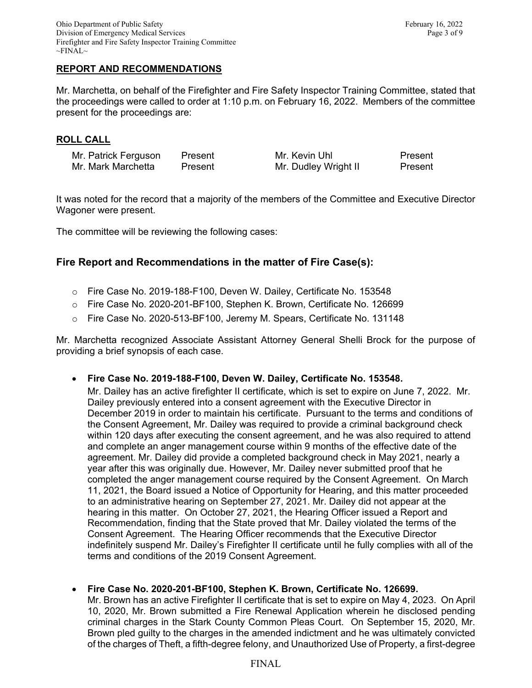# **REPORT AND RECOMMENDATIONS**

Mr. Marchetta, on behalf of the Firefighter and Fire Safety Inspector Training Committee, stated that the proceedings were called to order at 1:10 p.m. on February 16, 2022. Members of the committee present for the proceedings are:

### **ROLL CALL**

| Mr. Patrick Ferguson | Present | Mr. Kevin Uhl        | Present |
|----------------------|---------|----------------------|---------|
| Mr. Mark Marchetta   | Present | Mr. Dudley Wright II | Present |

It was noted for the record that a majority of the members of the Committee and Executive Director Wagoner were present.

The committee will be reviewing the following cases:

# **Fire Report and Recommendations in the matter of Fire Case(s):**

- o Fire Case No. 2019-188-F100, Deven W. Dailey, Certificate No. 153548
- o Fire Case No. 2020-201-BF100, Stephen K. Brown, Certificate No. 126699
- o Fire Case No. 2020-513-BF100, Jeremy M. Spears, Certificate No. 131148

Mr. Marchetta recognized Associate Assistant Attorney General Shelli Brock for the purpose of providing a brief synopsis of each case.

• **Fire Case No. 2019-188-F100, Deven W. Dailey, Certificate No. 153548.**

Mr. Dailey has an active firefighter II certificate, which is set to expire on June 7, 2022. Mr. Dailey previously entered into a consent agreement with the Executive Director in December 2019 in order to maintain his certificate. Pursuant to the terms and conditions of the Consent Agreement, Mr. Dailey was required to provide a criminal background check within 120 days after executing the consent agreement, and he was also required to attend and complete an anger management course within 9 months of the effective date of the agreement. Mr. Dailey did provide a completed background check in May 2021, nearly a year after this was originally due. However, Mr. Dailey never submitted proof that he completed the anger management course required by the Consent Agreement. On March 11, 2021, the Board issued a Notice of Opportunity for Hearing, and this matter proceeded to an administrative hearing on September 27, 2021. Mr. Dailey did not appear at the hearing in this matter. On October 27, 2021, the Hearing Officer issued a Report and Recommendation, finding that the State proved that Mr. Dailey violated the terms of the Consent Agreement. The Hearing Officer recommends that the Executive Director indefinitely suspend Mr. Dailey's Firefighter II certificate until he fully complies with all of the terms and conditions of the 2019 Consent Agreement.

#### • **Fire Case No. 2020-201-BF100, Stephen K. Brown, Certificate No. 126699.**

Mr. Brown has an active Firefighter II certificate that is set to expire on May 4, 2023. On April 10, 2020, Mr. Brown submitted a Fire Renewal Application wherein he disclosed pending criminal charges in the Stark County Common Pleas Court. On September 15, 2020, Mr. Brown pled guilty to the charges in the amended indictment and he was ultimately convicted of the charges of Theft, a fifth-degree felony, and Unauthorized Use of Property, a first-degree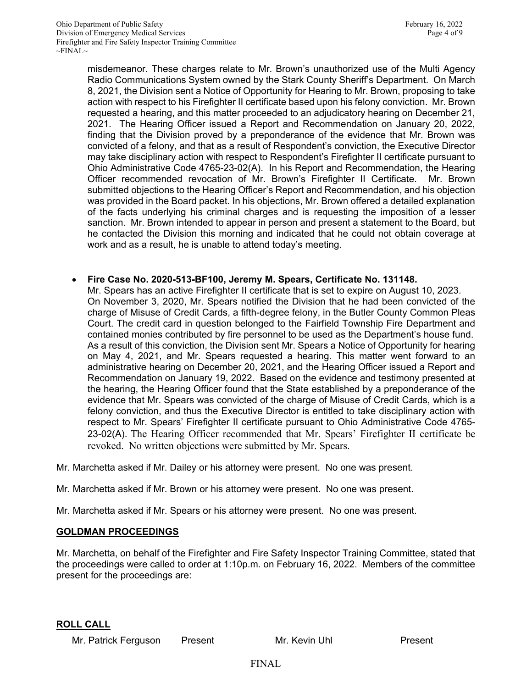misdemeanor. These charges relate to Mr. Brown's unauthorized use of the Multi Agency Radio Communications System owned by the Stark County Sheriff's Department. On March 8, 2021, the Division sent a Notice of Opportunity for Hearing to Mr. Brown, proposing to take action with respect to his Firefighter II certificate based upon his felony conviction. Mr. Brown requested a hearing, and this matter proceeded to an adjudicatory hearing on December 21, 2021. The Hearing Officer issued a Report and Recommendation on January 20, 2022, finding that the Division proved by a preponderance of the evidence that Mr. Brown was convicted of a felony, and that as a result of Respondent's conviction, the Executive Director may take disciplinary action with respect to Respondent's Firefighter II certificate pursuant to Ohio Administrative Code 4765-23-02(A). In his Report and Recommendation, the Hearing Officer recommended revocation of Mr. Brown's Firefighter II Certificate. Mr. Brown submitted objections to the Hearing Officer's Report and Recommendation, and his objection was provided in the Board packet. In his objections, Mr. Brown offered a detailed explanation of the facts underlying his criminal charges and is requesting the imposition of a lesser sanction. Mr. Brown intended to appear in person and present a statement to the Board, but he contacted the Division this morning and indicated that he could not obtain coverage at work and as a result, he is unable to attend today's meeting.

### • **Fire Case No. 2020-513-BF100, Jeremy M. Spears, Certificate No. 131148.**

Mr. Spears has an active Firefighter II certificate that is set to expire on August 10, 2023. On November 3, 2020, Mr. Spears notified the Division that he had been convicted of the charge of Misuse of Credit Cards, a fifth-degree felony, in the Butler County Common Pleas Court. The credit card in question belonged to the Fairfield Township Fire Department and contained monies contributed by fire personnel to be used as the Department's house fund. As a result of this conviction, the Division sent Mr. Spears a Notice of Opportunity for hearing on May 4, 2021, and Mr. Spears requested a hearing. This matter went forward to an administrative hearing on December 20, 2021, and the Hearing Officer issued a Report and Recommendation on January 19, 2022. Based on the evidence and testimony presented at the hearing, the Hearing Officer found that the State established by a preponderance of the evidence that Mr. Spears was convicted of the charge of Misuse of Credit Cards, which is a felony conviction, and thus the Executive Director is entitled to take disciplinary action with respect to Mr. Spears' Firefighter II certificate pursuant to Ohio Administrative Code 4765- 23-02(A). The Hearing Officer recommended that Mr. Spears' Firefighter II certificate be revoked. No written objections were submitted by Mr. Spears.

Mr. Marchetta asked if Mr. Dailey or his attorney were present. No one was present.

Mr. Marchetta asked if Mr. Brown or his attorney were present. No one was present.

Mr. Marchetta asked if Mr. Spears or his attorney were present. No one was present.

#### **GOLDMAN PROCEEDINGS**

Mr. Marchetta, on behalf of the Firefighter and Fire Safety Inspector Training Committee, stated that the proceedings were called to order at 1:10p.m. on February 16, 2022. Members of the committee present for the proceedings are:

#### **ROLL CALL**

Mr. Patrick Ferguson Present Mr. Kevin Uhl Present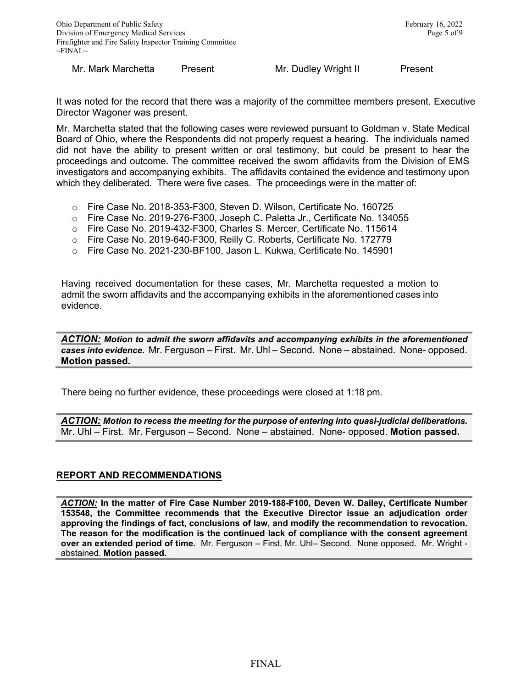Mr. Mark Marchetta Present Mr. Dudley Wright II Present

It was noted for the record that there was a majority of the committee members present. Executive Director Wagoner was present.

Mr. Marchetta stated that the following cases were reviewed pursuant to Goldman v. State Medical Board of Ohio, where the Respondents did not properly request a hearing. The individuals named did not have the ability to present written or oral testimony, but could be present to hear the proceedings and outcome. The committee received the sworn affidavits from the Division of EMS investigators and accompanying exhibits. The affidavits contained the evidence and testimony upon which they deliberated. There were five cases. The proceedings were in the matter of:

- o Fire Case No. 2018-353-F300, Steven D. Wilson, Certificate No. 160725
- o Fire Case No. 2019-276-F300, Joseph C. Paletta Jr., Certificate No. 134055
- o Fire Case No. 2019-432-F300, Charles S. Mercer, Certificate No. 115614
- o Fire Case No. 2019-640-F300, Reilly C. Roberts, Certificate No. 172779
- o Fire Case No. 2021-230-BF100, Jason L. Kukwa, Certificate No. 145901

Having received documentation for these cases, Mr. Marchetta requested a motion to admit the sworn affidavits and the accompanying exhibits in the aforementioned cases into evidence.

*ACTION: Motion to admit the sworn affidavits and accompanying exhibits in the aforementioned cases into evidence.* Mr. Ferguson – First. Mr. Uhl – Second. None – abstained. None- opposed. **Motion passed.**

There being no further evidence, these proceedings were closed at 1:18 pm.

*ACTION: Motion to recess the meeting for the purpose of entering into quasi-judicial deliberations.* Mr. Uhl – First. Mr. Ferguson – Second. None – abstained. None- opposed. **Motion passed.**

# **REPORT AND RECOMMENDATIONS**

*ACTION:* **In the matter of Fire Case Number 2019-188-F100, Deven W. Dailey, Certificate Number 153548, the Committee recommends that the Executive Director issue an adjudication order approving the findings of fact, conclusions of law, and modify the recommendation to revocation. The reason for the modification is the continued lack of compliance with the consent agreement over an extended period of time.** Mr. Ferguson – First. Mr. Uhl– Second. None opposed. Mr. Wright abstained. **Motion passed.**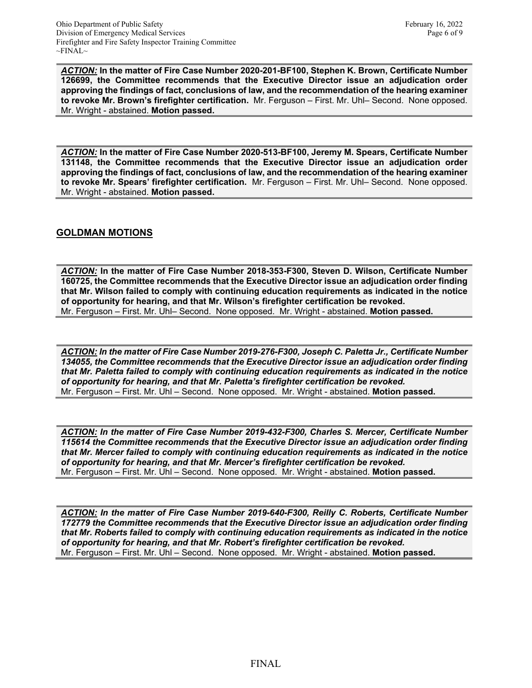*ACTION:* **In the matter of Fire Case Number 2020-201-BF100, Stephen K. Brown, Certificate Number 126699, the Committee recommends that the Executive Director issue an adjudication order approving the findings of fact, conclusions of law, and the recommendation of the hearing examiner to revoke Mr. Brown's firefighter certification.** Mr. Ferguson – First. Mr. Uhl– Second. None opposed. Mr. Wright - abstained. **Motion passed.** 

*ACTION:* **In the matter of Fire Case Number 2020-513-BF100, Jeremy M. Spears, Certificate Number 131148, the Committee recommends that the Executive Director issue an adjudication order approving the findings of fact, conclusions of law, and the recommendation of the hearing examiner to revoke Mr. Spears' firefighter certification.** Mr. Ferguson – First. Mr. Uhl– Second. None opposed. Mr. Wright - abstained. **Motion passed.** 

# **GOLDMAN MOTIONS**

*ACTION:* **In the matter of Fire Case Number 2018-353-F300, Steven D. Wilson, Certificate Number 160725, the Committee recommends that the Executive Director issue an adjudication order finding that Mr. Wilson failed to comply with continuing education requirements as indicated in the notice of opportunity for hearing, and that Mr. Wilson's firefighter certification be revoked.**  Mr. Ferguson – First. Mr. Uhl– Second. None opposed. Mr. Wright - abstained. **Motion passed.** 

*ACTION: In the matter of Fire Case Number 2019-276-F300, Joseph C. Paletta Jr., Certificate Number 134055, the Committee recommends that the Executive Director issue an adjudication order finding that Mr. Paletta failed to comply with continuing education requirements as indicated in the notice of opportunity for hearing, and that Mr. Paletta's firefighter certification be revoked.*  Mr. Ferguson – First. Mr. Uhl – Second. None opposed. Mr. Wright - abstained. **Motion passed.** 

*ACTION: In the matter of Fire Case Number 2019-432-F300, Charles S. Mercer, Certificate Number 115614 the Committee recommends that the Executive Director issue an adjudication order finding that Mr. Mercer failed to comply with continuing education requirements as indicated in the notice of opportunity for hearing, and that Mr. Mercer's firefighter certification be revoked.*  Mr. Ferguson – First. Mr. Uhl – Second. None opposed. Mr. Wright - abstained. **Motion passed.** 

*ACTION: In the matter of Fire Case Number 2019-640-F300, Reilly C. Roberts, Certificate Number 172779 the Committee recommends that the Executive Director issue an adjudication order finding that Mr. Roberts failed to comply with continuing education requirements as indicated in the notice of opportunity for hearing, and that Mr. Robert's firefighter certification be revoked.*  Mr. Ferguson – First. Mr. Uhl – Second. None opposed. Mr. Wright - abstained. **Motion passed.**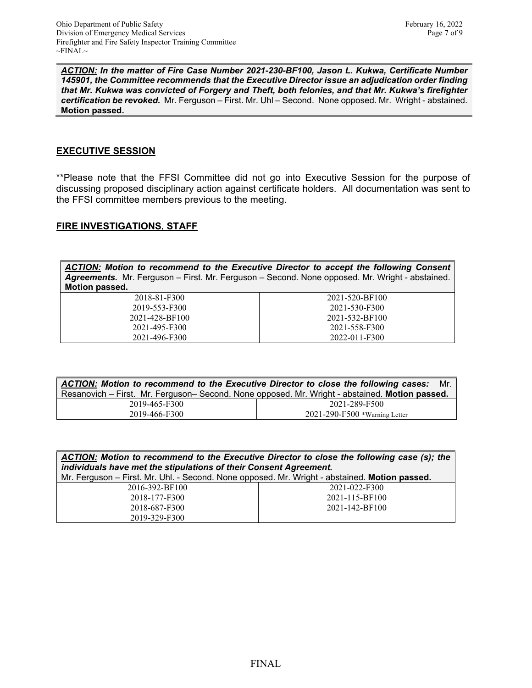*ACTION: In the matter of Fire Case Number 2021-230-BF100, Jason L. Kukwa, Certificate Number 145901, the Committee recommends that the Executive Director issue an adjudication order finding that Mr. Kukwa was convicted of Forgery and Theft, both felonies, and that Mr. Kukwa's firefighter certification be revoked.* Mr. Ferguson – First. Mr. Uhl – Second. None opposed. Mr. Wright - abstained. **Motion passed.** 

### **EXECUTIVE SESSION**

\*\*Please note that the FFSI Committee did not go into Executive Session for the purpose of discussing proposed disciplinary action against certificate holders. All documentation was sent to the FFSI committee members previous to the meeting.

### **FIRE INVESTIGATIONS, STAFF**

*ACTION: Motion to recommend to the Executive Director to accept the following Consent Agreements.* Mr. Ferguson – First. Mr. Ferguson – Second. None opposed. Mr. Wright - abstained. **Motion passed.** 

| 2018-81-F300   |
|----------------|
| 2019-553-F300  |
| 2021-428-BF100 |
| 2021-495-F300  |
| 2021-496-F300  |

| 2021-520-BF100 |
|----------------|
| 2021-530-F300  |
| 2021-532-BF100 |
| 2021-558-F300  |
| 2022-011-F300  |

| ACTION: Motion to recommend to the Executive Director to close the following cases: Mr.        |                                     |  |  |
|------------------------------------------------------------------------------------------------|-------------------------------------|--|--|
| Resanovich – First. Mr. Ferguson– Second. None opposed. Mr. Wright - abstained. Motion passed. |                                     |  |  |
| 2019-465-F300                                                                                  | 2021-289-F500                       |  |  |
| 2019-466-F300                                                                                  | $2021 - 290 - F500$ *Warning Letter |  |  |

| <b>ACTION:</b> Motion to recommend to the Executive Director to close the following case (s); the |                |  |
|---------------------------------------------------------------------------------------------------|----------------|--|
| individuals have met the stipulations of their Consent Agreement.                                 |                |  |
| Mr. Ferguson – First. Mr. Uhl. - Second. None opposed. Mr. Wright - abstained. Motion passed.     |                |  |
| 2016-392-BF100                                                                                    | 2021-022-F300  |  |
| 2018-177-F300                                                                                     | 2021-115-BF100 |  |
| 2018-687-F300                                                                                     | 2021-142-BF100 |  |
| 2019-329-F300                                                                                     |                |  |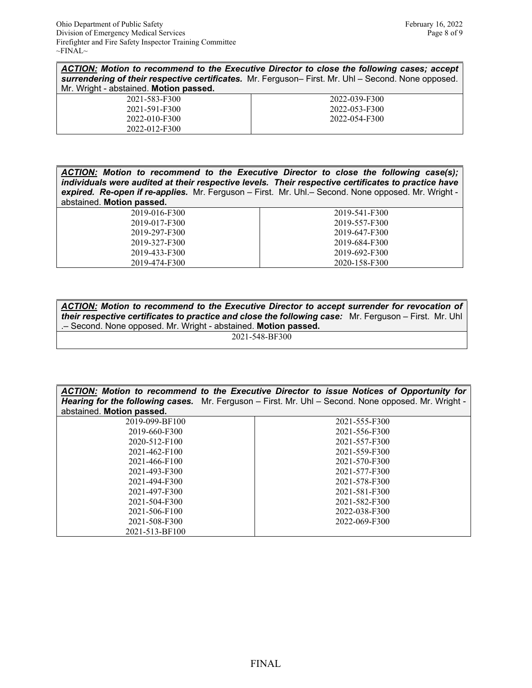*ACTION: Motion to recommend to the Executive Director to close the following cases; accept surrendering of their respective certificates.* Mr. Ferguson– First. Mr. Uhl – Second. None opposed. Mr. Wright - abstained. **Motion passed.** 

| 2021-583-F300 | 2022-039-F300 |
|---------------|---------------|
| 2021-591-F300 | 2022-053-F300 |
| 2022-010-F300 | 2022-054-F300 |
| 2022-012-F300 |               |

*ACTION: Motion to recommend to the Executive Director to close the following case(s); individuals were audited at their respective levels. Their respective certificates to practice have expired. Re-open if re-applies.* Mr. Ferguson – First. Mr. Uhl.– Second. None opposed. Mr. Wright abstained. **Motion passed.** 

> 2019-016-F300 2019-017-F300 2019-297-F300 2019-327-F300 2019-433-F300 2019-474-F300

2019-541-F300 2019-557-F300 2019-647-F300 2019-684-F300 2019-692-F300 2020-158-F300

*ACTION: Motion to recommend to the Executive Director to accept surrender for revocation of their respective certificates to practice and close the following case:* Mr. Ferguson – First. Mr. Uhl .– Second. None opposed. Mr. Wright - abstained. **Motion passed.** 

2021-548-BF300

| ACTION: Motion to recommend to the Executive Director to issue Notices of Opportunity for<br><b>Hearing for the following cases.</b> Mr. Ferguson – First. Mr. Uhl – Second. None opposed. Mr. Wright - |               |  |
|---------------------------------------------------------------------------------------------------------------------------------------------------------------------------------------------------------|---------------|--|
| abstained. Motion passed.                                                                                                                                                                               |               |  |
| 2019-099-BF100                                                                                                                                                                                          | 2021-555-F300 |  |
| 2019-660-F300                                                                                                                                                                                           | 2021-556-F300 |  |
| 2020-512-F100                                                                                                                                                                                           | 2021-557-F300 |  |
| 2021-462-F100                                                                                                                                                                                           | 2021-559-F300 |  |
| 2021-466-F100                                                                                                                                                                                           | 2021-570-F300 |  |
| 2021-493-F300                                                                                                                                                                                           | 2021-577-F300 |  |
| 2021-494-F300                                                                                                                                                                                           | 2021-578-F300 |  |
| 2021-497-F300                                                                                                                                                                                           | 2021-581-F300 |  |
| 2021-504-F300                                                                                                                                                                                           | 2021-582-F300 |  |
| 2021-506-F100                                                                                                                                                                                           | 2022-038-F300 |  |
| 2021-508-F300                                                                                                                                                                                           | 2022-069-F300 |  |
| 2021-513-BF100                                                                                                                                                                                          |               |  |